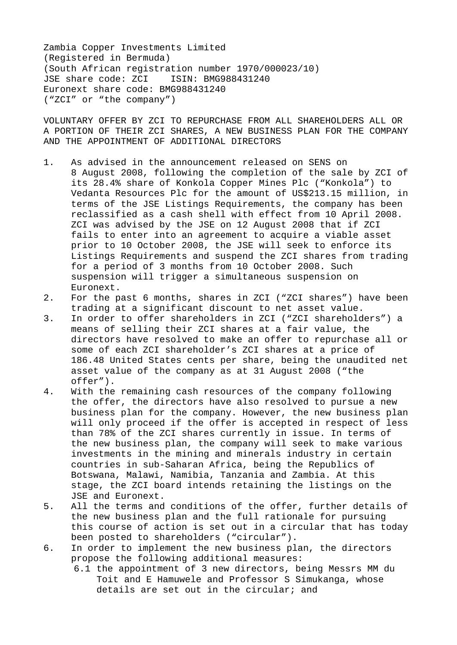Zambia Copper Investments Limited (Registered in Bermuda) (South African registration number 1970/000023/10) JSE share code: ZCI ISIN: BMG988431240 Euronext share code: BMG988431240 ("ZCI" or "the company")

VOLUNTARY OFFER BY ZCI TO REPURCHASE FROM ALL SHAREHOLDERS ALL OR A PORTION OF THEIR ZCI SHARES, A NEW BUSINESS PLAN FOR THE COMPANY AND THE APPOINTMENT OF ADDITIONAL DIRECTORS

- 1. As advised in the announcement released on SENS on 8 August 2008, following the completion of the sale by ZCI of its 28.4% share of Konkola Copper Mines Plc ("Konkola") to Vedanta Resources Plc for the amount of US\$213.15 million, in terms of the JSE Listings Requirements, the company has been reclassified as a cash shell with effect from 10 April 2008. ZCI was advised by the JSE on 12 August 2008 that if ZCI fails to enter into an agreement to acquire a viable asset prior to 10 October 2008, the JSE will seek to enforce its Listings Requirements and suspend the ZCI shares from trading for a period of 3 months from 10 October 2008. Such suspension will trigger a simultaneous suspension on Euronext.
- 2. For the past 6 months, shares in ZCI ("ZCI shares") have been trading at a significant discount to net asset value.
- 3. In order to offer shareholders in ZCI ("ZCI shareholders") a means of selling their ZCI shares at a fair value, the directors have resolved to make an offer to repurchase all or some of each ZCI shareholder's ZCI shares at a price of 186.48 United States cents per share, being the unaudited net asset value of the company as at 31 August 2008 ("the offer").
- 4. With the remaining cash resources of the company following the offer, the directors have also resolved to pursue a new business plan for the company. However, the new business plan will only proceed if the offer is accepted in respect of less than 78% of the ZCI shares currently in issue. In terms of the new business plan, the company will seek to make various investments in the mining and minerals industry in certain countries in sub-Saharan Africa, being the Republics of Botswana, Malawi, Namibia, Tanzania and Zambia. At this stage, the ZCI board intends retaining the listings on the JSE and Euronext.
- 5. All the terms and conditions of the offer, further details of the new business plan and the full rationale for pursuing this course of action is set out in a circular that has today been posted to shareholders ("circular").
- 6. In order to implement the new business plan, the directors propose the following additional measures:
	- 6.1 the appointment of 3 new directors, being Messrs MM du Toit and E Hamuwele and Professor S Simukanga, whose details are set out in the circular; and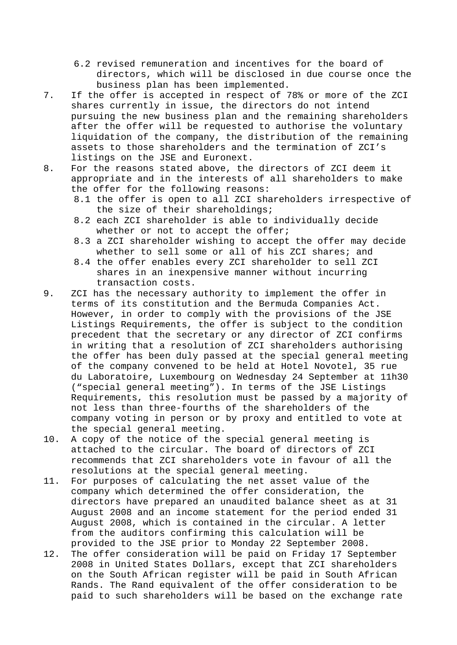- 6.2 revised remuneration and incentives for the board of directors, which will be disclosed in due course once the business plan has been implemented.
- 7. If the offer is accepted in respect of 78% or more of the ZCI shares currently in issue, the directors do not intend pursuing the new business plan and the remaining shareholders after the offer will be requested to authorise the voluntary liquidation of the company, the distribution of the remaining assets to those shareholders and the termination of ZCI's listings on the JSE and Euronext.
- 8. For the reasons stated above, the directors of ZCI deem it appropriate and in the interests of all shareholders to make the offer for the following reasons:
	- 8.1 the offer is open to all ZCI shareholders irrespective of the size of their shareholdings;
	- 8.2 each ZCI shareholder is able to individually decide whether or not to accept the offer;
	- 8.3 a ZCI shareholder wishing to accept the offer may decide whether to sell some or all of his ZCI shares; and
	- 8.4 the offer enables every ZCI shareholder to sell ZCI shares in an inexpensive manner without incurring transaction costs.
- 9. ZCI has the necessary authority to implement the offer in terms of its constitution and the Bermuda Companies Act. However, in order to comply with the provisions of the JSE Listings Requirements, the offer is subject to the condition precedent that the secretary or any director of ZCI confirms in writing that a resolution of ZCI shareholders authorising the offer has been duly passed at the special general meeting of the company convened to be held at Hotel Novotel, 35 rue du Laboratoire, Luxembourg on Wednesday 24 September at 11h30 ("special general meeting"). In terms of the JSE Listings Requirements, this resolution must be passed by a majority of not less than three-fourths of the shareholders of the company voting in person or by proxy and entitled to vote at the special general meeting.
- 10. A copy of the notice of the special general meeting is attached to the circular. The board of directors of ZCI recommends that ZCI shareholders vote in favour of all the resolutions at the special general meeting.
- 11. For purposes of calculating the net asset value of the company which determined the offer consideration, the directors have prepared an unaudited balance sheet as at 31 August 2008 and an income statement for the period ended 31 August 2008, which is contained in the circular. A letter from the auditors confirming this calculation will be provided to the JSE prior to Monday 22 September 2008.
- 12. The offer consideration will be paid on Friday 17 September 2008 in United States Dollars, except that ZCI shareholders on the South African register will be paid in South African Rands. The Rand equivalent of the offer consideration to be paid to such shareholders will be based on the exchange rate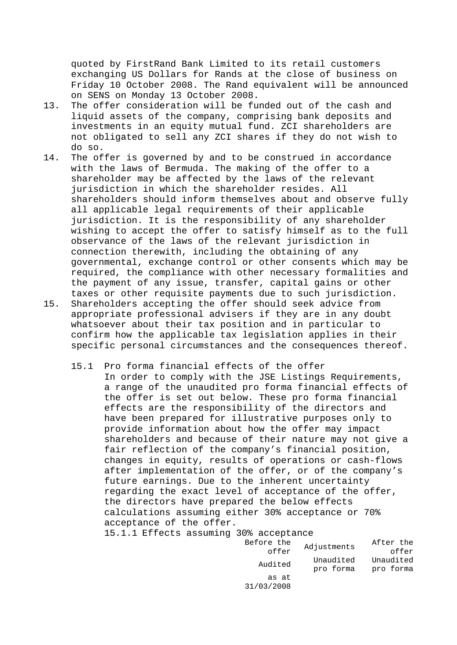quoted by FirstRand Bank Limited to its retail customers exchanging US Dollars for Rands at the close of business on Friday 10 October 2008. The Rand equivalent will be announced on SENS on Monday 13 October 2008.

- 13. The offer consideration will be funded out of the cash and liquid assets of the company, comprising bank deposits and investments in an equity mutual fund. ZCI shareholders are not obligated to sell any ZCI shares if they do not wish to do so.
- 14. The offer is governed by and to be construed in accordance with the laws of Bermuda. The making of the offer to a shareholder may be affected by the laws of the relevant jurisdiction in which the shareholder resides. All shareholders should inform themselves about and observe fully all applicable legal requirements of their applicable jurisdiction. It is the responsibility of any shareholder wishing to accept the offer to satisfy himself as to the full observance of the laws of the relevant jurisdiction in connection therewith, including the obtaining of any governmental, exchange control or other consents which may be required, the compliance with other necessary formalities and the payment of any issue, transfer, capital gains or other taxes or other requisite payments due to such jurisdiction. 15. Shareholders accepting the offer should seek advice from
- appropriate professional advisers if they are in any doubt whatsoever about their tax position and in particular to confirm how the applicable tax legislation applies in their specific personal circumstances and the consequences thereof.
	- 15.1 Pro forma financial effects of the offer In order to comply with the JSE Listings Requirements, a range of the unaudited pro forma financial effects of the offer is set out below. These pro forma financial effects are the responsibility of the directors and have been prepared for illustrative purposes only to provide information about how the offer may impact shareholders and because of their nature may not give a fair reflection of the company's financial position, changes in equity, results of operations or cash-flows after implementation of the offer, or of the company's future earnings. Due to the inherent uncertainty regarding the exact level of acceptance of the offer, the directors have prepared the below effects calculations assuming either 30% acceptance or 70% acceptance of the offer.

15.1.1 Effects assuming 30% acceptance

| Before the          | Adjustments            | After the              |  |
|---------------------|------------------------|------------------------|--|
| offer               |                        | offer                  |  |
| Audited             | Unaudited<br>pro forma | Unaudited<br>pro forma |  |
| as at<br>31/03/2008 |                        |                        |  |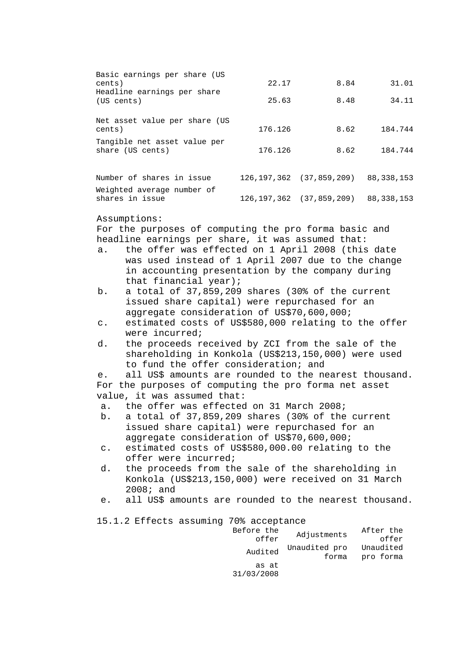| Basic earnings per share (US<br>cents)<br>Headline earnings per share<br>(US cents)                                                                               |                                                                                                 | 22.17   | 8.84                                      | 31.01     |  |
|-------------------------------------------------------------------------------------------------------------------------------------------------------------------|-------------------------------------------------------------------------------------------------|---------|-------------------------------------------|-----------|--|
|                                                                                                                                                                   |                                                                                                 | 25.63   | 8.48                                      | 34.11     |  |
|                                                                                                                                                                   |                                                                                                 |         |                                           |           |  |
| Net asset value per share (US<br>cents)                                                                                                                           |                                                                                                 | 176.126 | 8.62                                      | 184.744   |  |
| Tangible net asset value per<br>share (US cents)                                                                                                                  |                                                                                                 | 176.126 | 8.62                                      | 184.744   |  |
|                                                                                                                                                                   | Number of shares in issue                                                                       |         | 126, 197, 362 (37, 859, 209) 88, 338, 153 |           |  |
| Weighted average number of<br>shares in issue                                                                                                                     |                                                                                                 |         | 126, 197, 362 (37, 859, 209) 88, 338, 153 |           |  |
|                                                                                                                                                                   | Assumptions:                                                                                    |         |                                           |           |  |
|                                                                                                                                                                   | For the purposes of computing the pro forma basic and                                           |         |                                           |           |  |
|                                                                                                                                                                   | headline earnings per share, it was assumed that:                                               |         |                                           |           |  |
| the offer was effected on 1 April 2008 (this date<br>a.<br>was used instead of 1 April 2007 due to the change<br>in accounting presentation by the company during |                                                                                                 |         |                                           |           |  |
| that financial year);<br>a total of 37,859,209 shares (30% of the current<br>b.<br>issued share capital) were repurchased for an                                  |                                                                                                 |         |                                           |           |  |
| aggregate consideration of US\$70,600,000;<br>estimated costs of US\$580,000 relating to the offer<br>$\mathtt{C}$ .<br>were incurred;                            |                                                                                                 |         |                                           |           |  |
| the proceeds received by ZCI from the sale of the<br>d.<br>shareholding in Konkola (US\$213,150,000) were used<br>to fund the offer consideration; and            |                                                                                                 |         |                                           |           |  |
| е.                                                                                                                                                                | all US\$ amounts are rounded to the nearest thousand.                                           |         |                                           |           |  |
|                                                                                                                                                                   | For the purposes of computing the pro forma net asset                                           |         |                                           |           |  |
|                                                                                                                                                                   | value, it was assumed that:                                                                     |         |                                           |           |  |
| the offer was effected on 31 March 2008;<br>а.                                                                                                                    |                                                                                                 |         |                                           |           |  |
| a total of 37,859,209 shares (30% of the current<br>b.                                                                                                            |                                                                                                 |         |                                           |           |  |
|                                                                                                                                                                   | issued share capital) were repurchased for an                                                   |         |                                           |           |  |
| $\mathsf{C}$ .                                                                                                                                                    | aggregate consideration of US\$70,600,000;<br>estimated costs of US\$580,000.00 relating to the |         |                                           |           |  |
|                                                                                                                                                                   | offer were incurred;                                                                            |         |                                           |           |  |
| the proceeds from the sale of the shareholding in<br>d.<br>Konkola (US\$213,150,000) were received on 31 March<br>$2008;$ and                                     |                                                                                                 |         |                                           |           |  |
| e.                                                                                                                                                                | all US\$ amounts are rounded to the nearest thousand.                                           |         |                                           |           |  |
| 15.1.2 Effects assuming 70% acceptance                                                                                                                            |                                                                                                 |         |                                           |           |  |
| Before the<br>After the<br>Adjustments<br>offer<br>offer                                                                                                          |                                                                                                 |         |                                           |           |  |
|                                                                                                                                                                   |                                                                                                 | Audited | Unaudited pro<br>forma                    | Unaudited |  |
| pro forma<br>as at<br>31/03/2008                                                                                                                                  |                                                                                                 |         |                                           |           |  |
|                                                                                                                                                                   |                                                                                                 |         |                                           |           |  |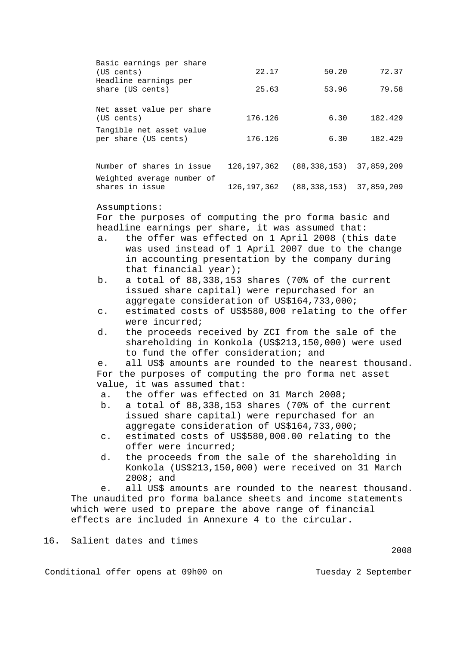| Basic earnings per share<br>(US cents)<br>Headline earnings per<br>share (US cents) | 22.17<br>25.63 | 50.20<br>53.96                            | 72.37<br>79.58 |
|-------------------------------------------------------------------------------------|----------------|-------------------------------------------|----------------|
| Net asset value per share<br>(US cents)                                             | 176.126        | 6.30                                      | 182.429        |
| Tangible net asset value<br>per share (US cents)                                    | 176.126        | 6.30                                      | 182.429        |
| Number of shares in issue                                                           |                | 126, 197, 362 (88, 338, 153) 37, 859, 209 |                |
| Weighted average number of<br>shares in issue                                       |                | 126, 197, 362 (88, 338, 153) 37, 859, 209 |                |

Assumptions:

For the purposes of computing the pro forma basic and headline earnings per share, it was assumed that:

- a. the offer was effected on 1 April 2008 (this date was used instead of 1 April 2007 due to the change in accounting presentation by the company during that financial year);
- b. a total of 88,338,153 shares (70% of the current issued share capital) were repurchased for an aggregate consideration of US\$164,733,000;
- c. estimated costs of US\$580,000 relating to the offer were incurred;
- d. the proceeds received by ZCI from the sale of the shareholding in Konkola (US\$213,150,000) were used to fund the offer consideration; and

e. all US\$ amounts are rounded to the nearest thousand. For the purposes of computing the pro forma net asset value, it was assumed that:

- a. the offer was effected on 31 March 2008;
- b. a total of 88,338,153 shares (70% of the current issued share capital) were repurchased for an aggregate consideration of US\$164,733,000;
- c. estimated costs of US\$580,000.00 relating to the offer were incurred;
- d. the proceeds from the sale of the shareholding in Konkola (US\$213,150,000) were received on 31 March 2008; and

e. all US\$ amounts are rounded to the nearest thousand. The unaudited pro forma balance sheets and income statements which were used to prepare the above range of financial effects are included in Annexure 4 to the circular.

16. Salient dates and times

Conditional offer opens at 09h00 on Tuesday 2 September